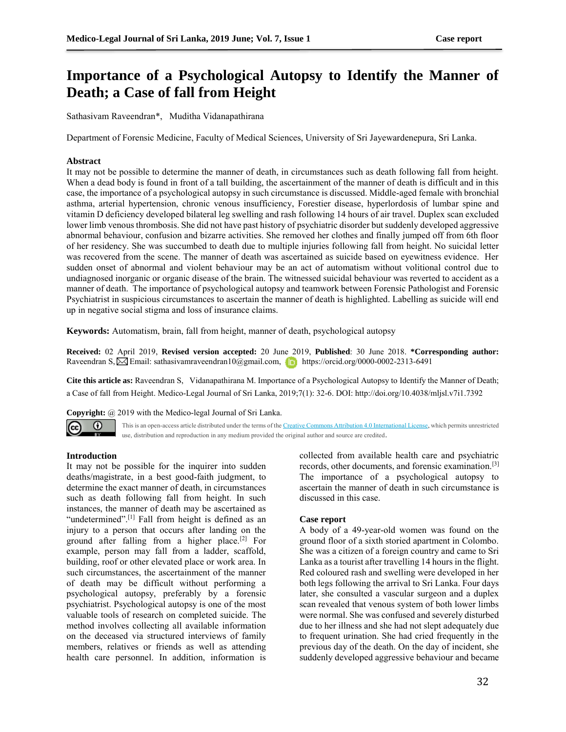# **Importance of a Psychological Autopsy to Identify the Manner of Death; a Case of fall from Height**

Sathasivam Raveendran\*, Muditha Vidanapathirana

Department of Forensic Medicine, Faculty of Medical Sciences, University of Sri Jayewardenepura, Sri Lanka.

## **Abstract**

It may not be possible to determine the manner of death, in circumstances such as death following fall from height. When a dead body is found in front of a tall building, the ascertainment of the manner of death is difficult and in this case, the importance of a psychological autopsy in such circumstance is discussed. Middle-aged female with bronchial asthma, arterial hypertension, chronic venous insufficiency, Forestier disease, hyperlordosis of lumbar spine and vitamin D deficiency developed bilateral leg swelling and rash following 14 hours of air travel. Duplex scan excluded lower limb venous thrombosis. She did not have past history of psychiatric disorder but suddenly developed aggressive abnormal behaviour, confusion and bizarre activities. She removed her clothes and finally jumped off from 6th floor of her residency. She was succumbed to death due to multiple injuries following fall from height. No suicidal letter was recovered from the scene. The manner of death was ascertained as suicide based on eyewitness evidence. Her sudden onset of abnormal and violent behaviour may be an act of automatism without volitional control due to undiagnosed inorganic or organic disease of the brain. The witnessed suicidal behaviour was reverted to accident as a manner of death. The importance of psychological autopsy and teamwork between Forensic Pathologist and Forensic Psychiatrist in suspicious circumstances to ascertain the manner of death is highlighted. Labelling as suicide will end up in negative social stigma and loss of insurance claims.

**Keywords:** Automatism, brain, fall from height, manner of death, psychological autopsy

**Received:** 02 April 2019, **Revised version accepted:** 20 June 2019, **Published**: 30 June 2018. **\*Corresponding author:** RaveendranS,  $\boxtimes$  Email[: sathasivamraveendran10@gmail.com,](mailto:sathasivamraveendran10@gmail.com) https://orcid.org/0000-0002-2313-6491

**Cite this article as:** Raveendran S, Vidanapathirana M. Importance of a Psychological Autopsy to Identify the Manner of Death; a Case of fall from Height. Medico-Legal Journal of Sri Lanka, 2019;7(1): 32-6. DOI: http://doi.org/10.4038/mljsl.v7i1.7392

**Copyright:** @ 2019 with the Medico-legal Journal of Sri Lanka.



This is an open-access article distributed under the terms of th[e Creative Commons Attribution 4.0 International License,](http://creativecommons.org/licenses/by/4.0/) which permits unrestricted use, distribution and reproduction in any medium provided the original author and source are credited.

## **Introduction**

It may not be possible for the inquirer into sudden deaths/magistrate, in a best good-faith judgment, to determine the exact manner of death, in circumstances such as death following fall from height. In such instances, the manner of death may be ascertained as "undetermined".<sup>[1]</sup> Fall from height is defined as an injury to a person that occurs after landing on the ground after falling from a higher place.<sup>[2]</sup> For example, person may fall from a ladder, scaffold, building, roof or other elevated place or work area. In such circumstances, the ascertainment of the manner of death may be difficult without performing a psychological autopsy, preferably by a forensic psychiatrist. Psychological autopsy is one of the most valuable tools of research on completed suicide. The method involves collecting all available information on the deceased via structured interviews of family members, relatives or friends as well as attending health care personnel. In addition, information is

collected from available health care and psychiatric records, other documents, and forensic examination.[3] The importance of a psychological autopsy to ascertain the manner of death in such circumstance is discussed in this case.

## **Case report**

A body of a 49-year-old women was found on the ground floor of a sixth storied apartment in Colombo. She was a citizen of a foreign country and came to Sri Lanka as a tourist after travelling 14 hours in the flight. Red coloured rash and swelling were developed in her both legs following the arrival to Sri Lanka. Four days later, she consulted a vascular surgeon and a duplex scan revealed that venous system of both lower limbs were normal. She was confused and severely disturbed due to her illness and she had not slept adequately due to frequent urination. She had cried frequently in the previous day of the death. On the day of incident, she suddenly developed aggressive behaviour and became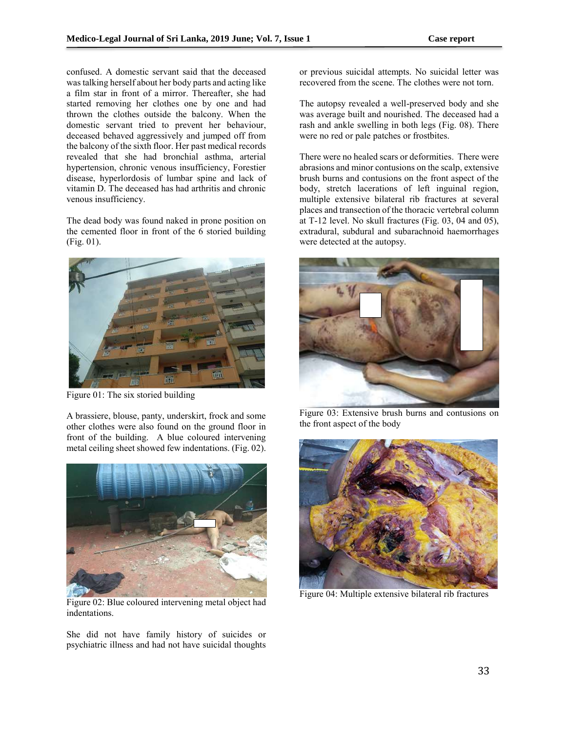confused. A domestic servant said that the deceased was talking herself about her body parts and acting like a film star in front of a mirror. Thereafter, she had started removing her clothes one by one and had thrown the clothes outside the balcony. When the domestic servant tried to prevent her behaviour, deceased behaved aggressively and jumped off from the balcony of the sixth floor. Her past medical records revealed that she had bronchial asthma, arterial hypertension, chronic venous insufficiency, Forestier disease, hyperlordosis of lumbar spine and lack of vitamin D. The deceased has had arthritis and chronic venous insufficiency.

The dead body was found naked in prone position on the cemented floor in front of the 6 storied building (Fig. 01).



Figure 01: The six storied building

A brassiere, blouse, panty, underskirt, frock and some other clothes were also found on the ground floor in front of the building. A blue coloured intervening metal ceiling sheet showed few indentations. (Fig. 02).



Figure 02: Blue coloured intervening metal object had indentations.

She did not have family history of suicides or psychiatric illness and had not have suicidal thoughts or previous suicidal attempts. No suicidal letter was recovered from the scene. The clothes were not torn.

The autopsy revealed a well-preserved body and she was average built and nourished. The deceased had a rash and ankle swelling in both legs (Fig. 08). There were no red or pale patches or frostbites.

There were no healed scars or deformities. There were abrasions and minor contusions on the scalp, extensive brush burns and contusions on the front aspect of the body, stretch lacerations of left inguinal region, multiple extensive bilateral rib fractures at several places and transection of the thoracic vertebral column at T-12 level. No skull fractures (Fig. 03, 04 and 05), extradural, subdural and subarachnoid haemorrhages were detected at the autopsy.



Figure 03: Extensive brush burns and contusions on the front aspect of the body



Figure 04: Multiple extensive bilateral rib fractures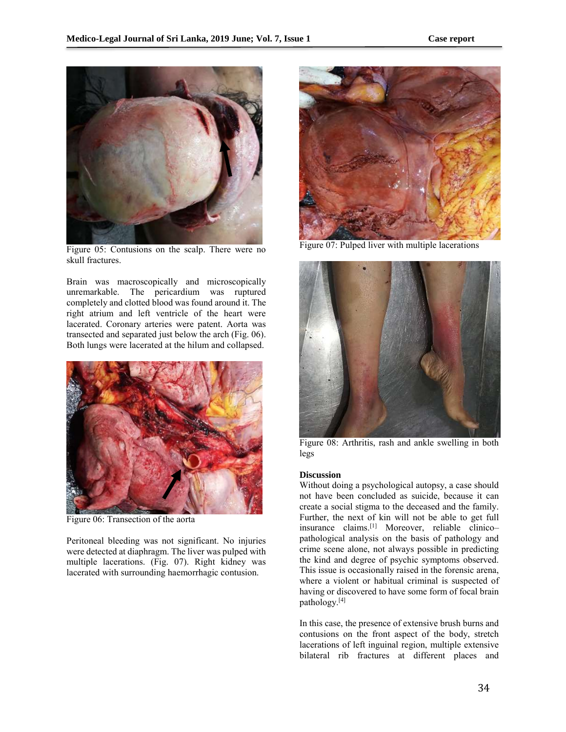

Figure 05: Contusions on the scalp. There were no skull fractures.

Brain was macroscopically and microscopically unremarkable. The pericardium was ruptured completely and clotted blood was found around it. The right atrium and left ventricle of the heart were lacerated. Coronary arteries were patent. Aorta was transected and separated just below the arch (Fig. 06). Both lungs were lacerated at the hilum and collapsed.



Figure 06: Transection of the aorta

Peritoneal bleeding was not significant. No injuries were detected at diaphragm. The liver was pulped with multiple lacerations. (Fig. 07). Right kidney was lacerated with surrounding haemorrhagic contusion.



Figure 07: Pulped liver with multiple lacerations



Figure 08: Arthritis, rash and ankle swelling in both legs

## **Discussion**

Without doing a psychological autopsy, a case should not have been concluded as suicide, because it can create a social stigma to the deceased and the family. Further, the next of kin will not be able to get full insurance claims.[1] Moreover, reliable clinico– pathological analysis on the basis of pathology and crime scene alone, not always possible in predicting the kind and degree of psychic symptoms observed. This issue is occasionally raised in the forensic arena, where a violent or habitual criminal is suspected of having or discovered to have some form of focal brain pathology.[4]

In this case, the presence of extensive brush burns and contusions on the front aspect of the body, stretch lacerations of left inguinal region, multiple extensive bilateral rib fractures at different places and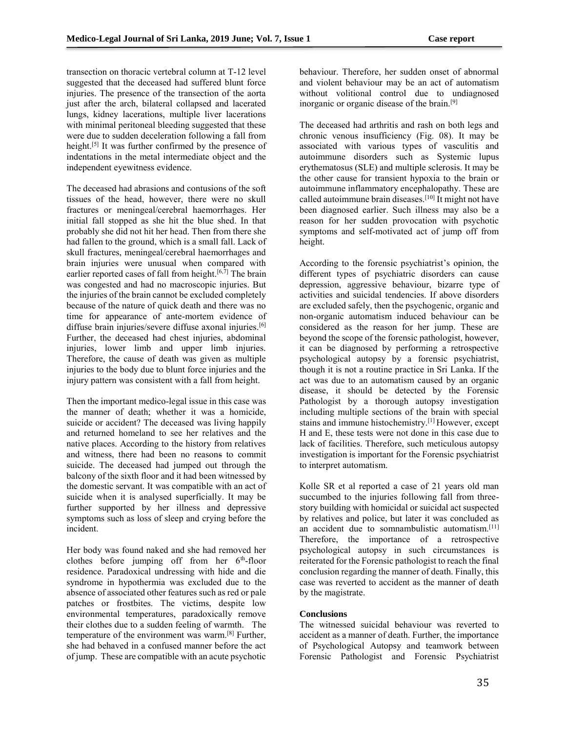transection on thoracic vertebral column at T-12 level suggested that the deceased had suffered blunt force injuries. The presence of the transection of the aorta just after the arch, bilateral collapsed and lacerated lungs, kidney lacerations, multiple liver lacerations with minimal peritoneal bleeding suggested that these were due to sudden deceleration following a fall from height.<sup>[5]</sup> It was further confirmed by the presence of indentations in the metal intermediate object and the independent eyewitness evidence.

The deceased had abrasions and contusions of the soft tissues of the head, however, there were no skull fractures or meningeal/cerebral haemorrhages. Her initial fall stopped as she hit the blue shed. In that probably she did not hit her head. Then from there she had fallen to the ground, which is a small fall. Lack of skull fractures, meningeal/cerebral haemorrhages and brain injuries were unusual when compared with earlier reported cases of fall from height.<sup>[6,7]</sup> The brain was congested and had no macroscopic injuries. But the injuries of the brain cannot be excluded completely because of the nature of quick death and there was no time for appearance of ante-mortem evidence of diffuse brain injuries/severe diffuse axonal injuries.<sup>[6]</sup> Further, the deceased had chest injuries, abdominal injuries, lower limb and upper limb injuries. Therefore, the cause of death was given as multiple injuries to the body due to blunt force injuries and the injury pattern was consistent with a fall from height.

Then the important medico-legal issue in this case was the manner of death; whether it was a homicide, suicide or accident? The deceased was living happily and returned homeland to see her relatives and the native places. According to the history from relatives and witness, there had been no reasons to commit suicide. The deceased had jumped out through the balcony of the sixth floor and it had been witnessed by the domestic servant. It was compatible with an act of suicide when it is analysed superficially. It may be further supported by her illness and depressive symptoms such as loss of sleep and crying before the incident.

Her body was found naked and she had removed her clothes before jumping off from her  $6<sup>th</sup>$ -floor residence. Paradoxical undressing with hide and die syndrome in hypothermia was excluded due to the absence of associated other features such as red or pale patches or frostbites. The victims, despite low environmental temperatures, paradoxically remove their clothes due to a sudden feeling of warmth. The temperature of the environment was warm.[8] Further, she had behaved in a confused manner before the act of jump. These are compatible with an acute psychotic

behaviour. Therefore, her sudden onset of abnormal and violent behaviour may be an act of automatism without volitional control due to undiagnosed inorganic or organic disease of the brain.[9]

The deceased had arthritis and rash on both legs and chronic venous insufficiency (Fig. 08). It may be associated with various types of vasculitis and autoimmune disorders such as Systemic lupus erythematosus (SLE) and multiple sclerosis. It may be the other cause for transient hypoxia to the brain or autoimmune inflammatory encephalopathy. These are called autoimmune brain diseases.[10] It might not have been diagnosed earlier. Such illness may also be a reason for her sudden provocation with psychotic symptoms and self-motivated act of jump off from height.

According to the forensic psychiatrist's opinion, the different types of psychiatric disorders can cause depression, aggressive behaviour, bizarre type of activities and suicidal tendencies. If above disorders are excluded safely, then the psychogenic, organic and non-organic automatism induced behaviour can be considered as the reason for her jump. These are beyond the scope of the forensic pathologist, however, it can be diagnosed by performing a retrospective psychological autopsy by a forensic psychiatrist, though it is not a routine practice in Sri Lanka. If the act was due to an automatism caused by an organic disease, it should be detected by the Forensic Pathologist by a thorough autopsy investigation including multiple sections of the brain with special stains and immune histochemistry.[1] However, except H and E, these tests were not done in this case due to lack of facilities. Therefore, such meticulous autopsy investigation is important for the Forensic psychiatrist to interpret automatism.

Kolle SR et al reported a case of 21 years old man succumbed to the injuries following fall from threestory building with homicidal or suicidal act suspected by relatives and police, but later it was concluded as an accident due to somnambulistic automatism.<sup>[11]</sup> Therefore, the importance of a retrospective psychological autopsy in such circumstances is reiterated for the Forensic pathologist to reach the final conclusion regarding the manner of death. Finally, this case was reverted to accident as the manner of death by the magistrate.

## **Conclusions**

The witnessed suicidal behaviour was reverted to accident as a manner of death. Further, the importance of Psychological Autopsy and teamwork between Forensic Pathologist and Forensic Psychiatrist